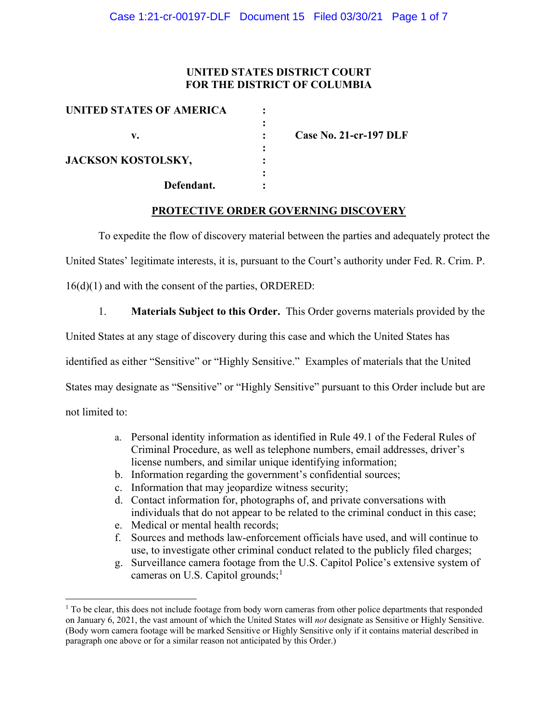## **UNITED STATES DISTRICT COURT FOR THE DISTRICT OF COLUMBIA**

| UNITED STATES OF AMERICA  |                               |
|---------------------------|-------------------------------|
| v.                        | <b>Case No. 21-cr-197 DLF</b> |
| <b>JACKSON KOSTOLSKY,</b> |                               |
| Defendant.                |                               |

#### **PROTECTIVE ORDER GOVERNING DISCOVERY**

To expedite the flow of discovery material between the parties and adequately protect the

United States' legitimate interests, it is, pursuant to the Court's authority under Fed. R. Crim. P.

16(d)(1) and with the consent of the parties, ORDERED:

1. **Materials Subject to this Order.** This Order governs materials provided by the

United States at any stage of discovery during this case and which the United States has

identified as either "Sensitive" or "Highly Sensitive." Examples of materials that the United

States may designate as "Sensitive" or "Highly Sensitive" pursuant to this Order include but are

not limited to:

- a. Personal identity information as identified in Rule 49.1 of the Federal Rules of Criminal Procedure, as well as telephone numbers, email addresses, driver's license numbers, and similar unique identifying information;
- b. Information regarding the government's confidential sources;
- c. Information that may jeopardize witness security;
- d. Contact information for, photographs of, and private conversations with individuals that do not appear to be related to the criminal conduct in this case;
- e. Medical or mental health records;
- f. Sources and methods law-enforcement officials have used, and will continue to use, to investigate other criminal conduct related to the publicly filed charges;
- g. Surveillance camera footage from the U.S. Capitol Police's extensive system of cameras on U.S. Capitol grounds; $<sup>1</sup>$ </sup>

 $1$  To be clear, this does not include footage from body worn cameras from other police departments that responded on January 6, 2021, the vast amount of which the United States will *not* designate as Sensitive or Highly Sensitive. (Body worn camera footage will be marked Sensitive or Highly Sensitive only if it contains material described in paragraph one above or for a similar reason not anticipated by this Order.)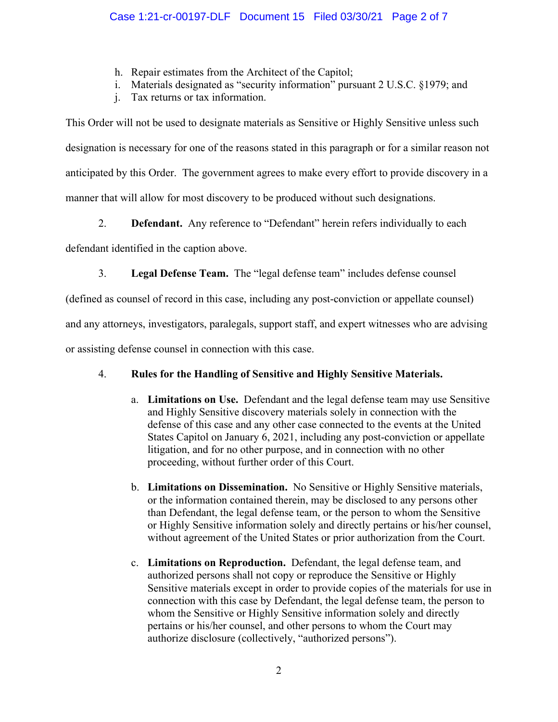- h. Repair estimates from the Architect of the Capitol;
- i. Materials designated as "security information" pursuant 2 U.S.C. §1979; and
- j. Tax returns or tax information.

This Order will not be used to designate materials as Sensitive or Highly Sensitive unless such designation is necessary for one of the reasons stated in this paragraph or for a similar reason not anticipated by this Order. The government agrees to make every effort to provide discovery in a manner that will allow for most discovery to be produced without such designations.

2. **Defendant.** Any reference to "Defendant" herein refers individually to each

defendant identified in the caption above.

3. **Legal Defense Team.** The "legal defense team" includes defense counsel

(defined as counsel of record in this case, including any post-conviction or appellate counsel)

and any attorneys, investigators, paralegals, support staff, and expert witnesses who are advising

or assisting defense counsel in connection with this case.

# 4. **Rules for the Handling of Sensitive and Highly Sensitive Materials.**

- a. **Limitations on Use.** Defendant and the legal defense team may use Sensitive and Highly Sensitive discovery materials solely in connection with the defense of this case and any other case connected to the events at the United States Capitol on January 6, 2021, including any post-conviction or appellate litigation, and for no other purpose, and in connection with no other proceeding, without further order of this Court.
- b. **Limitations on Dissemination.** No Sensitive or Highly Sensitive materials, or the information contained therein, may be disclosed to any persons other than Defendant, the legal defense team, or the person to whom the Sensitive or Highly Sensitive information solely and directly pertains or his/her counsel, without agreement of the United States or prior authorization from the Court.
- c. **Limitations on Reproduction.** Defendant, the legal defense team, and authorized persons shall not copy or reproduce the Sensitive or Highly Sensitive materials except in order to provide copies of the materials for use in connection with this case by Defendant, the legal defense team, the person to whom the Sensitive or Highly Sensitive information solely and directly pertains or his/her counsel, and other persons to whom the Court may authorize disclosure (collectively, "authorized persons").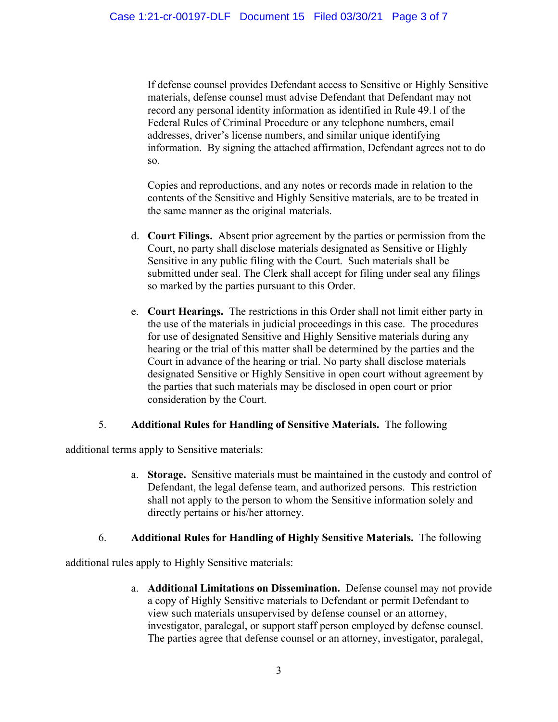If defense counsel provides Defendant access to Sensitive or Highly Sensitive materials, defense counsel must advise Defendant that Defendant may not record any personal identity information as identified in Rule 49.1 of the Federal Rules of Criminal Procedure or any telephone numbers, email addresses, driver's license numbers, and similar unique identifying information. By signing the attached affirmation, Defendant agrees not to do so.

Copies and reproductions, and any notes or records made in relation to the contents of the Sensitive and Highly Sensitive materials, are to be treated in the same manner as the original materials.

- d. **Court Filings.** Absent prior agreement by the parties or permission from the Court, no party shall disclose materials designated as Sensitive or Highly Sensitive in any public filing with the Court. Such materials shall be submitted under seal. The Clerk shall accept for filing under seal any filings so marked by the parties pursuant to this Order.
- e. **Court Hearings.** The restrictions in this Order shall not limit either party in the use of the materials in judicial proceedings in this case. The procedures for use of designated Sensitive and Highly Sensitive materials during any hearing or the trial of this matter shall be determined by the parties and the Court in advance of the hearing or trial. No party shall disclose materials designated Sensitive or Highly Sensitive in open court without agreement by the parties that such materials may be disclosed in open court or prior consideration by the Court.

#### 5. **Additional Rules for Handling of Sensitive Materials.** The following

additional terms apply to Sensitive materials:

a. **Storage.** Sensitive materials must be maintained in the custody and control of Defendant, the legal defense team, and authorized persons. This restriction shall not apply to the person to whom the Sensitive information solely and directly pertains or his/her attorney.

# 6. **Additional Rules for Handling of Highly Sensitive Materials.** The following

additional rules apply to Highly Sensitive materials:

a. **Additional Limitations on Dissemination.** Defense counsel may not provide a copy of Highly Sensitive materials to Defendant or permit Defendant to view such materials unsupervised by defense counsel or an attorney, investigator, paralegal, or support staff person employed by defense counsel. The parties agree that defense counsel or an attorney, investigator, paralegal,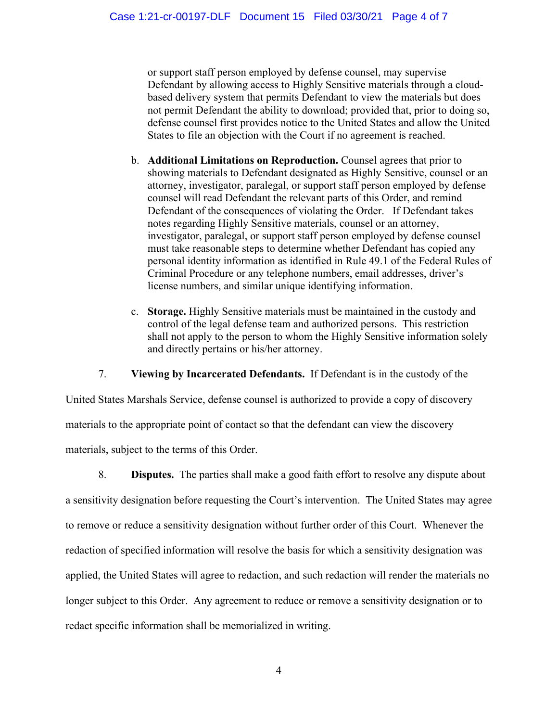or support staff person employed by defense counsel, may supervise Defendant by allowing access to Highly Sensitive materials through a cloudbased delivery system that permits Defendant to view the materials but does not permit Defendant the ability to download; provided that, prior to doing so, defense counsel first provides notice to the United States and allow the United States to file an objection with the Court if no agreement is reached.

- b. **Additional Limitations on Reproduction.** Counsel agrees that prior to showing materials to Defendant designated as Highly Sensitive, counsel or an attorney, investigator, paralegal, or support staff person employed by defense counsel will read Defendant the relevant parts of this Order, and remind Defendant of the consequences of violating the Order. If Defendant takes notes regarding Highly Sensitive materials, counsel or an attorney, investigator, paralegal, or support staff person employed by defense counsel must take reasonable steps to determine whether Defendant has copied any personal identity information as identified in Rule 49.1 of the Federal Rules of Criminal Procedure or any telephone numbers, email addresses, driver's license numbers, and similar unique identifying information.
- c. **Storage.** Highly Sensitive materials must be maintained in the custody and control of the legal defense team and authorized persons. This restriction shall not apply to the person to whom the Highly Sensitive information solely and directly pertains or his/her attorney.

7. **Viewing by Incarcerated Defendants.** If Defendant is in the custody of the

United States Marshals Service, defense counsel is authorized to provide a copy of discovery materials to the appropriate point of contact so that the defendant can view the discovery materials, subject to the terms of this Order.

8. **Disputes.** The parties shall make a good faith effort to resolve any dispute about a sensitivity designation before requesting the Court's intervention. The United States may agree to remove or reduce a sensitivity designation without further order of this Court. Whenever the redaction of specified information will resolve the basis for which a sensitivity designation was applied, the United States will agree to redaction, and such redaction will render the materials no longer subject to this Order. Any agreement to reduce or remove a sensitivity designation or to redact specific information shall be memorialized in writing.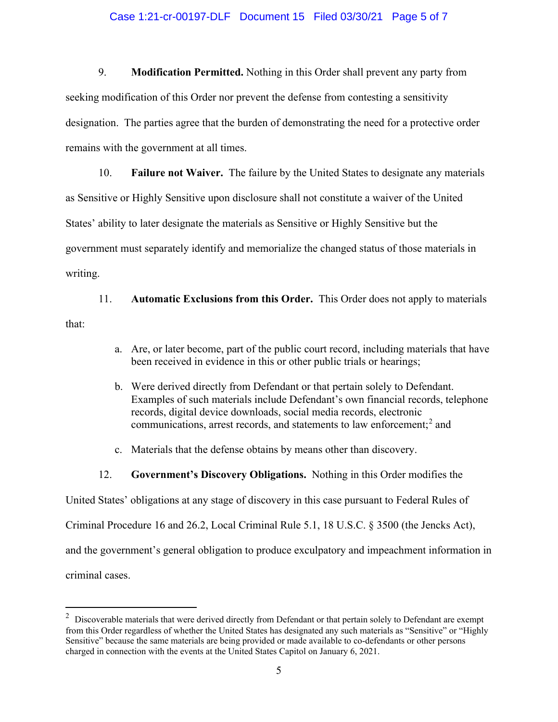#### Case 1:21-cr-00197-DLF Document 15 Filed 03/30/21 Page 5 of 7

9. **Modification Permitted.** Nothing in this Order shall prevent any party from seeking modification of this Order nor prevent the defense from contesting a sensitivity designation. The parties agree that the burden of demonstrating the need for a protective order remains with the government at all times.

10. **Failure not Waiver.** The failure by the United States to designate any materials as Sensitive or Highly Sensitive upon disclosure shall not constitute a waiver of the United States' ability to later designate the materials as Sensitive or Highly Sensitive but the government must separately identify and memorialize the changed status of those materials in writing.

11. **Automatic Exclusions from this Order.** This Order does not apply to materials that:

- a. Are, or later become, part of the public court record, including materials that have been received in evidence in this or other public trials or hearings;
- b. Were derived directly from Defendant or that pertain solely to Defendant. Examples of such materials include Defendant's own financial records, telephone records, digital device downloads, social media records, electronic communications, arrest records, and statements to law enforcement;<sup>2</sup> and
- c. Materials that the defense obtains by means other than discovery.
- 12. **Government's Discovery Obligations.** Nothing in this Order modifies the

United States' obligations at any stage of discovery in this case pursuant to Federal Rules of

Criminal Procedure 16 and 26.2, Local Criminal Rule 5.1, 18 U.S.C. § 3500 (the Jencks Act),

and the government's general obligation to produce exculpatory and impeachment information in

criminal cases.

 $2$  Discoverable materials that were derived directly from Defendant or that pertain solely to Defendant are exempt from this Order regardless of whether the United States has designated any such materials as "Sensitive" or "Highly Sensitive" because the same materials are being provided or made available to co-defendants or other persons charged in connection with the events at the United States Capitol on January 6, 2021.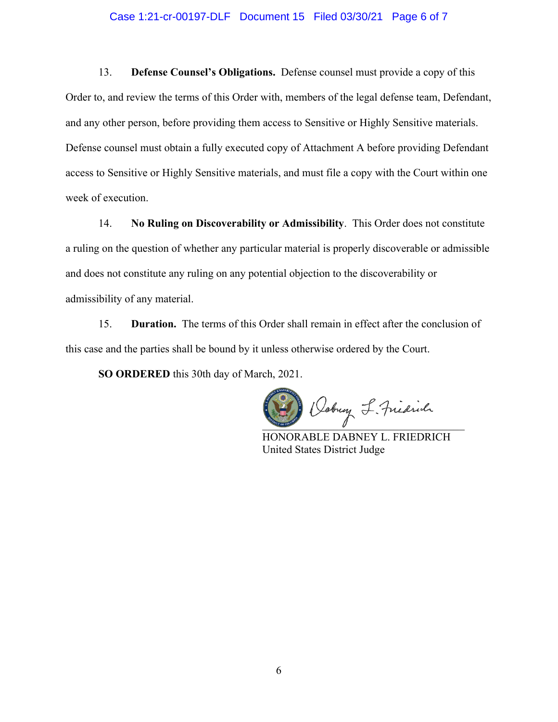## Case 1:21-cr-00197-DLF Document 15 Filed 03/30/21 Page 6 of 7

13. **Defense Counsel's Obligations.** Defense counsel must provide a copy of this Order to, and review the terms of this Order with, members of the legal defense team, Defendant, and any other person, before providing them access to Sensitive or Highly Sensitive materials. Defense counsel must obtain a fully executed copy of Attachment A before providing Defendant access to Sensitive or Highly Sensitive materials, and must file a copy with the Court within one week of execution.

14. **No Ruling on Discoverability or Admissibility**. This Order does not constitute a ruling on the question of whether any particular material is properly discoverable or admissible and does not constitute any ruling on any potential objection to the discoverability or admissibility of any material.

15. **Duration.** The terms of this Order shall remain in effect after the conclusion of this case and the parties shall be bound by it unless otherwise ordered by the Court.

**SO ORDERED** this 30th day of March, 2021.

Dobug L. Fridrich

HONORABLE DABNEY L. FRIEDRICH United States District Judge